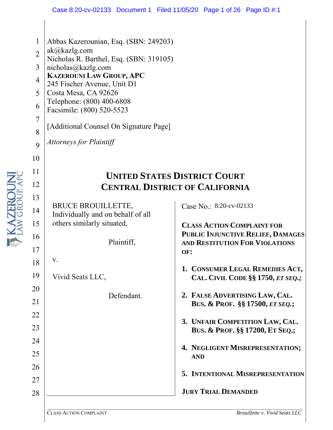- 1 Abbas Kazerounian, Esq. (SBN: 249203)
- 2 ak@kazlg.com
- Nicholas R. Barthel, Esq. (SBN: 319105)
- 3 nicholas@kazlg.com
- 4 **KAZEROUNI LAW GROUP, APC**
- 245 Fischer Avenue, Unit D1
- 5 Costa Mesa, CA 92626
- 6 Telephone: (800) 400-6808
- Facsimile: (800) 520-5523
	- [Additional Counsel On Signature Page]
	- *Attorneys for Plaintiff*

### **UNITED STATES DISTRICT COURT CENTRAL DISTRICT OF CALIFORNIA**

BRUCE BROUILLETTE, Individually and on behalf of all others similarly situated,

Plaintiff,

17 18 v.

7

8

 $\overline{Q}$ 

10

11

12

13

14

15

16

20

21

22

23

24

25

26

27

28

19 Vivid Seats LLC,

Defendant.

Case No.: 8:20-cv-02133

**CLASS ACTION COMPLAINT FOR PUBLIC INJUNCTIVE RELIEF, DAMAGES AND RESTITUTION FOR VIOLATIONS OF:**

- **1. CONSUMER LEGAL REMEDIES ACT, CAL. CIVIL CODE §§ 1750,** *ET SEQ.;*
- **2. FALSE ADVERTISING LAW, CAL. BUS. & PROF. §§ 17500,** *ET SEQ.***;**
- **3. UNFAIR COMPETITION LAW, CAL. BUS. & PROF. §§ 17200, ET SEQ.;**
- **4. NEGLIGENT MISREPRESENTATION; AND**
- **5. INTENTIONAL MISREPRESENTATION**

**JURY TRIAL DEMANDED**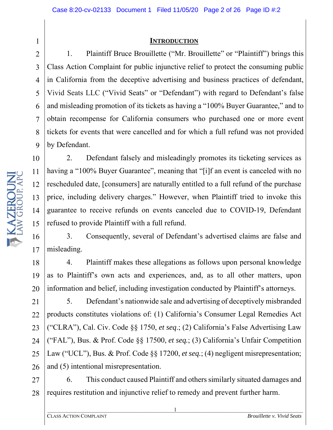#### **INTRODUCTION**

1. Plaintiff Bruce Brouillette ("Mr. Brouillette" or "Plaintiff") brings this Class Action Complaint for public injunctive relief to protect the consuming public in California from the deceptive advertising and business practices of defendant, Vivid Seats LLC ("Vivid Seats" or "Defendant") with regard to Defendant's false and misleading promotion of its tickets as having a "100% Buyer Guarantee," and to obtain recompense for California consumers who purchased one or more event tickets for events that were cancelled and for which a full refund was not provided by Defendant.

2. Defendant falsely and misleadingly promotes its ticketing services as having a "100% Buyer Guarantee", meaning that "[i]f an event is canceled with no rescheduled date, [consumers] are naturally entitled to a full refund of the purchase price, including delivery charges." However, when Plaintiff tried to invoke this guarantee to receive refunds on events canceled due to COVID-19, Defendant refused to provide Plaintiff with a full refund.

17 3. Consequently, several of Defendant's advertised claims are false and misleading.

4. Plaintiff makes these allegations as follows upon personal knowledge as to Plaintiff's own acts and experiences, and, as to all other matters, upon information and belief, including investigation conducted by Plaintiff's attorneys.

21 22 23 24 25 26 5. Defendant's nationwide sale and advertising of deceptively misbranded products constitutes violations of: (1) California's Consumer Legal Remedies Act ("CLRA"), Cal. Civ. Code §§ 1750, *et seq*.; (2) California's False Advertising Law ("FAL"), Bus. & Prof. Code §§ 17500, *et seq.*; (3) California's Unfair Competition Law ("UCL"), Bus. & Prof. Code §§ 17200, *et seq.*; (4) negligent misrepresentation; and (5) intentional misrepresentation.

27 28 6. This conduct caused Plaintiff and others similarly situated damages and requires restitution and injunctive relief to remedy and prevent further harm.

**TRAZEROUN** 16

9 10 11 12 13 14 15

18

19

20

1

2

3

4

5

6

7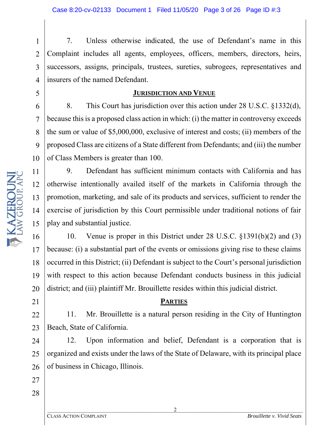1 2 3 4 7. Unless otherwise indicated, the use of Defendant's name in this Complaint includes all agents, employees, officers, members, directors, heirs, successors, assigns, principals, trustees, sureties, subrogees, representatives and insurers of the named Defendant.

#### **JURISDICTION AND VENUE**

8. This Court has jurisdiction over this action under 28 U.S.C. §1332(d), because this is a proposed class action in which: (i) the matter in controversy exceeds the sum or value of \$5,000,000, exclusive of interest and costs; (ii) members of the proposed Class are citizens of a State different from Defendants; and (iii) the number of Class Members is greater than 100.

9. Defendant has sufficient minimum contacts with California and has otherwise intentionally availed itself of the markets in California through the promotion, marketing, and sale of its products and services, sufficient to render the exercise of jurisdiction by this Court permissible under traditional notions of fair play and substantial justice.

16 17 18 19 20 10. Venue is proper in this District under 28 U.S.C. §1391(b)(2) and (3) because: (i) a substantial part of the events or omissions giving rise to these claims occurred in this District; (ii) Defendant is subject to the Court's personal jurisdiction with respect to this action because Defendant conducts business in this judicial district; and (iii) plaintiff Mr. Brouillette resides within this judicial district.

#### **PARTIES**

22 23 11. Mr. Brouillette is a natural person residing in the City of Huntington Beach, State of California.

24 25 26 12. Upon information and belief, Defendant is a corporation that is organized and exists under the laws of the State of Delaware, with its principal place of business in Chicago, Illinois.

5

6

7

8

9

10

11

12

13

14

15

21

27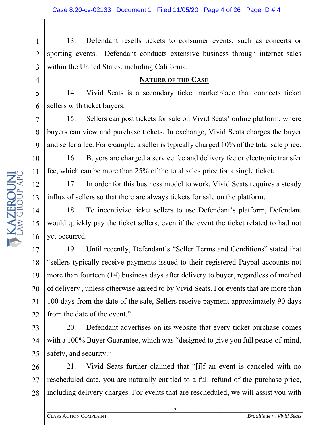1 2 3 13. Defendant resells tickets to consumer events, such as concerts or sporting events. Defendant conducts extensive business through internet sales within the United States, including California.

#### **NATURE OF THE CASE**

14. Vivid Seats is a secondary ticket marketplace that connects ticket sellers with ticket buyers.

15. Sellers can post tickets for sale on Vivid Seats' online platform, where buyers can view and purchase tickets. In exchange, Vivid Seats charges the buyer and seller a fee. For example, a seller is typically charged 10% of the total sale price.

16. Buyers are charged a service fee and delivery fee or electronic transfer fee, which can be more than 25% of the total sales price for a single ticket.

17. In order for this business model to work, Vivid Seats requires a steady influx of sellers so that there are always tickets for sale on the platform.

18. To incentivize ticket sellers to use Defendant's platform, Defendant would quickly pay the ticket sellers, even if the event the ticket related to had not yet occurred.

19. Until recently, Defendant's "Seller Terms and Conditions" stated that "sellers typically receive payments issued to their registered Paypal accounts not more than fourteen (14) business days after delivery to buyer, regardless of method of delivery , unless otherwise agreed to by Vivid Seats. For events that are more than 100 days from the date of the sale, Sellers receive payment approximately 90 days from the date of the event."

23 24 25 20. Defendant advertises on its website that every ticket purchase comes with a 100% Buyer Guarantee, which was "designed to give you full peace-of-mind, safety, and security."

26 27 28 21. Vivid Seats further claimed that "[i]f an event is canceled with no rescheduled date, you are naturally entitled to a full refund of the purchase price, including delivery charges. For events that are rescheduled, we will assist you with

4

5

6

7

8

9

10

11

12

13

14

15

16

17

18

19

20

21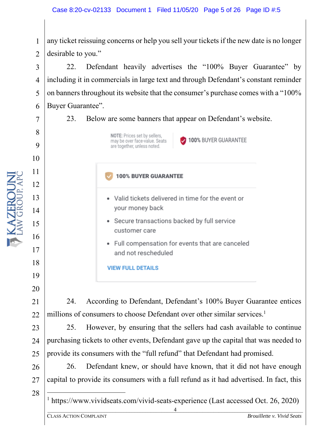1 2 any ticket reissuing concerns or help you sell your tickets if the new date is no longer desirable to you."

22. Defendant heavily advertises the "100% Buyer Guarantee" by including it in commercials in large text and through Defendant's constant reminder on banners throughout its website that the consumer's purchase comes with a "100% Buyer Guarantee".

23. Below are some banners that appear on Defendant's website.



100% BUYER GUARANTEE

**100% BUYER GUARANTEE** 

- Valid tickets delivered in time for the event or your money back
- Secure transactions backed by full service customer care
- Full compensation for events that are canceled and not rescheduled

**VIEW FULL DETAILS** 

24. According to Defendant, Defendant's 100% Buyer Guarantee entices millions of consumers to choose Defendant over other similar services.<sup>1</sup>

23 24 25. However, by ensuring that the sellers had cash available to continue purchasing tickets to other events, Defendant gave up the capital that was needed to provide its consumers with the "full refund" that Defendant had promised.

26 27 26. Defendant knew, or should have known, that it did not have enough capital to provide its consumers with a full refund as it had advertised. In fact, this

28

4 <sup>1</sup> https://www.vividseats.com/vivid-seats-experience (Last accessed Oct. 26, 2020)

3

4

5

6

7

8

9

10

11

12

13

14

15

16

17

18

19

20

21

22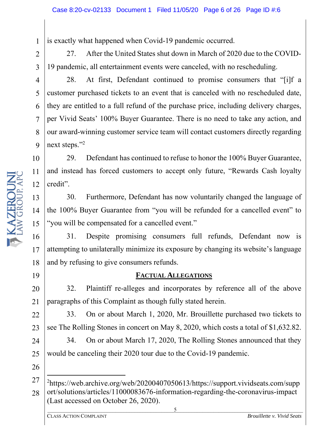is exactly what happened when Covid-19 pandemic occurred.

27. After the United States shut down in March of 2020 due to the COVID-19 pandemic, all entertainment events were canceled, with no rescheduling.

28. At first, Defendant continued to promise consumers that "[i]f a customer purchased tickets to an event that is canceled with no rescheduled date, they are entitled to a full refund of the purchase price, including delivery charges, per Vivid Seats' 100% Buyer Guarantee. There is no need to take any action, and our award-winning customer service team will contact customers directly regarding next steps."<sup>2</sup>

10 11 12 29. Defendant has continued to refuse to honor the 100% Buyer Guarantee, and instead has forced customers to accept only future, "Rewards Cash loyalty credit".

30. Furthermore, Defendant has now voluntarily changed the language of the 100% Buyer Guarantee from "you will be refunded for a cancelled event" to "you will be compensated for a cancelled event."

16 17 18 31. Despite promising consumers full refunds, Defendant now is attempting to unilaterally minimize its exposure by changing its website's language and by refusing to give consumers refunds.

#### **FACTUAL ALLEGATIONS**

32. Plaintiff re-alleges and incorporates by reference all of the above paragraphs of this Complaint as though fully stated herein.

33. On or about March 1, 2020, Mr. Brouillette purchased two tickets to see The Rolling Stones in concert on May 8, 2020, which costs a total of \$1,632.82.

24 25 34. On or about March 17, 2020, The Rolling Stones announced that they would be canceling their 2020 tour due to the Covid-19 pandemic.

5

1

2

3

4

5

6

7

8

9

13

14

15

19

20

21

22

23

26

 $\overline{\phantom{a}}$  , and the contribution of the contribution of  $\overline{\phantom{a}}$  ,  $\overline{\phantom{a}}$  ,  $\overline{\phantom{a}}$  ,  $\overline{\phantom{a}}$  ,  $\overline{\phantom{a}}$  ,  $\overline{\phantom{a}}$  ,  $\overline{\phantom{a}}$  ,  $\overline{\phantom{a}}$  ,  $\overline{\phantom{a}}$  ,  $\overline{\phantom{a}}$  ,  $\overline{\phantom{a}}$  ,  $\overline{\phantom{a$ 

<sup>27</sup> 28 <sup>2</sup>https://web.archive.org/web/20200407050613/https://support.vividseats.com/supp ort/solutions/articles/11000083676-information-regarding-the-coronavirus-impact (Last accessed on October 26, 2020).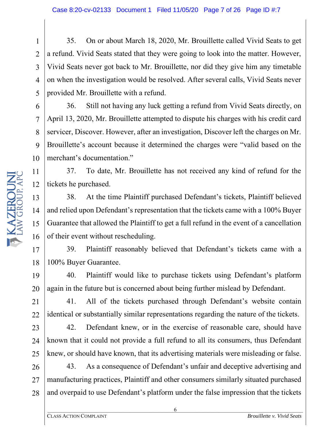35. On or about March 18, 2020, Mr. Brouillette called Vivid Seats to get a refund. Vivid Seats stated that they were going to look into the matter. However, Vivid Seats never got back to Mr. Brouillette, nor did they give him any timetable on when the investigation would be resolved. After several calls, Vivid Seats never provided Mr. Brouillette with a refund.

36. Still not having any luck getting a refund from Vivid Seats directly, on April 13, 2020, Mr. Brouillette attempted to dispute his charges with his credit card servicer, Discover. However, after an investigation, Discover left the charges on Mr. Brouillette's account because it determined the charges were "valid based on the merchant's documentation."

37. To date, Mr. Brouillette has not received any kind of refund for the tickets he purchased.

38. At the time Plaintiff purchased Defendant's tickets, Plaintiff believed and relied upon Defendant's representation that the tickets came with a 100% Buyer Guarantee that allowed the Plaintiff to get a full refund in the event of a cancellation of their event without rescheduling.

17 18 39. Plaintiff reasonably believed that Defendant's tickets came with a 100% Buyer Guarantee.

19 20 40. Plaintiff would like to purchase tickets using Defendant's platform again in the future but is concerned about being further mislead by Defendant.

22 41. All of the tickets purchased through Defendant's website contain identical or substantially similar representations regarding the nature of the tickets.

23 24 25 42. Defendant knew, or in the exercise of reasonable care, should have known that it could not provide a full refund to all its consumers, thus Defendant knew, or should have known, that its advertising materials were misleading or false.

26 27 28 43. As a consequence of Defendant's unfair and deceptive advertising and manufacturing practices, Plaintiff and other consumers similarly situated purchased and overpaid to use Defendant's platform under the false impression that the tickets

6

1

2

3

4

5

6

7

8

9

10

11

12

13

14

15

16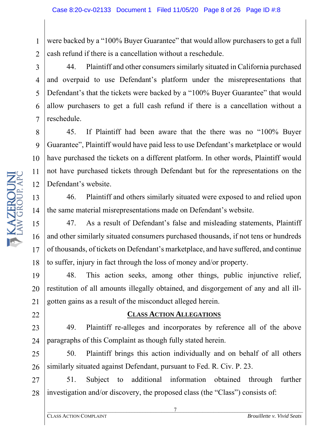1 2 were backed by a "100% Buyer Guarantee" that would allow purchasers to get a full cash refund if there is a cancellation without a reschedule.

44. Plaintiff and other consumers similarly situated in California purchased and overpaid to use Defendant's platform under the misrepresentations that Defendant's that the tickets were backed by a "100% Buyer Guarantee" that would allow purchasers to get a full cash refund if there is a cancellation without a reschedule.

45. If Plaintiff had been aware that the there was no "100% Buyer Guarantee", Plaintiff would have paid less to use Defendant's marketplace or would have purchased the tickets on a different platform. In other words, Plaintiff would not have purchased tickets through Defendant but for the representations on the Defendant's website.

46. Plaintiff and others similarly situated were exposed to and relied upon the same material misrepresentations made on Defendant's website.

47. As a result of Defendant's false and misleading statements, Plaintiff and other similarly situated consumers purchased thousands, if not tens or hundreds of thousands, of tickets on Defendant's marketplace, and have suffered, and continue to suffer, injury in fact through the loss of money and/or property.

19 20 21 48. This action seeks, among other things, public injunctive relief, restitution of all amounts illegally obtained, and disgorgement of any and all illgotten gains as a result of the misconduct alleged herein.

#### **CLASS ACTION ALLEGATIONS**

23 24 49. Plaintiff re-alleges and incorporates by reference all of the above paragraphs of this Complaint as though fully stated herein.

25 26 50. Plaintiff brings this action individually and on behalf of all others similarly situated against Defendant, pursuant to Fed. R. Civ. P. 23.

27 28 51. Subject to additional information obtained through further investigation and/or discovery, the proposed class (the "Class") consists of:

3

4

5

6

7

8

9

10

11

12

13

14

15

16

17

18

22

 $\overline{7}$  , and the contribution of the contribution of  $\overline{7}$  , and the contribution of the contribution of the contribution of the contribution of the contribution of the contribution of the contribution of the contrib 7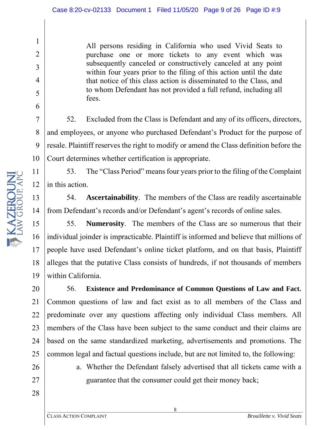All persons residing in California who used Vivid Seats to purchase one or more tickets to any event which was subsequently canceled or constructively canceled at any point within four years prior to the filing of this action until the date that notice of this class action is disseminated to the Class, and to whom Defendant has not provided a full refund, including all fees.

52. Excluded from the Class is Defendant and any of its officers, directors, and employees, or anyone who purchased Defendant's Product for the purpose of resale. Plaintiff reserves the right to modify or amend the Class definition before the Court determines whether certification is appropriate.

53. The "Class Period" meansfour years prior to the filing of the Complaint in this action.

54. **Ascertainability**. The members of the Class are readily ascertainable from Defendant's records and/or Defendant's agent's records of online sales.

15 16 17 18 19 55. **Numerosity**. The members of the Class are so numerous that their individual joinder is impracticable. Plaintiff is informed and believe that millions of people have used Defendant's online ticket platform, and on that basis, Plaintiff alleges that the putative Class consists of hundreds, if not thousands of members within California.

20 21 22 23 24 56. **Existence and Predominance of Common Questions of Law and Fact.** Common questions of law and fact exist as to all members of the Class and predominate over any questions affecting only individual Class members. All members of the Class have been subject to the same conduct and their claims are based on the same standardized marketing, advertisements and promotions. The common legal and factual questions include, but are not limited to, the following:

> a. Whether the Defendant falsely advertised that all tickets came with a guarantee that the consumer could get their money back;

1

2

3

4

5

6

7

8

9

10

11

12

13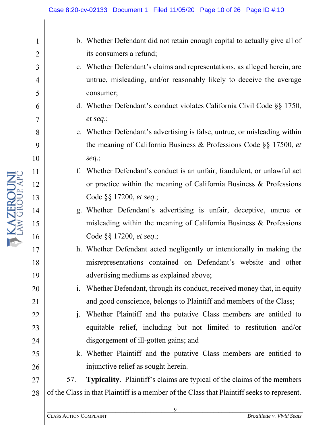- b. Whether Defendant did not retain enough capital to actually give all of its consumers a refund;
- c. Whether Defendant's claims and representations, as alleged herein, are untrue, misleading, and/or reasonably likely to deceive the average consumer;
- d. Whether Defendant's conduct violates California Civil Code §§ 1750, *et seq*.;
- e. Whether Defendant's advertising is false, untrue, or misleading within the meaning of California Business & Professions Code §§ 17500, *et seq*.;
- f. Whether Defendant's conduct is an unfair, fraudulent, or unlawful act or practice within the meaning of California Business & Professions Code §§ 17200, *et seq*.;
- g. Whether Defendant's advertising is unfair, deceptive, untrue or misleading within the meaning of California Business & Professions Code §§ 17200, *et seq*.;
- h. Whether Defendant acted negligently or intentionally in making the misrepresentations contained on Defendant's website and other advertising mediums as explained above;
- i. Whether Defendant, through its conduct, received money that, in equity and good conscience, belongs to Plaintiff and members of the Class;
- j. Whether Plaintiff and the putative Class members are entitled to equitable relief, including but not limited to restitution and/or disgorgement of ill-gotten gains; and
- k. Whether Plaintiff and the putative Class members are entitled to injunctive relief as sought herein.

27 28 57. **Typicality**. Plaintiff's claims are typical of the claims of the members of the Class in that Plaintiff is a member of the Class that Plaintiff seeks to represent.

**T KAZEROUN** 

1

2

3

4

5

6

7

8

9

10

11

12

13

14

15

16

17

18

19

20

21

22

23

24

25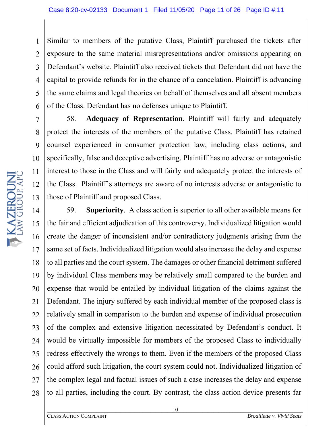1 2 3 4 5 6 Similar to members of the putative Class, Plaintiff purchased the tickets after exposure to the same material misrepresentations and/or omissions appearing on Defendant's website. Plaintiff also received tickets that Defendant did not have the capital to provide refunds for in the chance of a cancelation. Plaintiff is advancing the same claims and legal theories on behalf of themselves and all absent members of the Class. Defendant has no defenses unique to Plaintiff.

58. **Adequacy of Representation**. Plaintiff will fairly and adequately protect the interests of the members of the putative Class. Plaintiff has retained counsel experienced in consumer protection law, including class actions, and specifically, false and deceptive advertising. Plaintiff has no adverse or antagonistic interest to those in the Class and will fairly and adequately protect the interests of the Class. Plaintiff's attorneys are aware of no interests adverse or antagonistic to those of Plaintiff and proposed Class.

14 15 16 17 18 19 20 21 22 23 24 25 26 27 28 59. **Superiority**. A class action is superior to all other available means for the fair and efficient adjudication of this controversy. Individualized litigation would create the danger of inconsistent and/or contradictory judgments arising from the same set of facts. Individualized litigation would also increase the delay and expense to all parties and the court system. The damages or other financial detriment suffered by individual Class members may be relatively small compared to the burden and expense that would be entailed by individual litigation of the claims against the Defendant. The injury suffered by each individual member of the proposed class is relatively small in comparison to the burden and expense of individual prosecution of the complex and extensive litigation necessitated by Defendant's conduct. It would be virtually impossible for members of the proposed Class to individually redress effectively the wrongs to them. Even if the members of the proposed Class could afford such litigation, the court system could not. Individualized litigation of the complex legal and factual issues of such a case increases the delay and expense to all parties, including the court. By contrast, the class action device presents far

7

8

9

10

11

12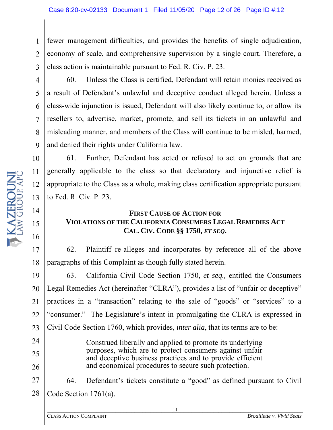1 2 3 fewer management difficulties, and provides the benefits of single adjudication, economy of scale, and comprehensive supervision by a single court. Therefore, a class action is maintainable pursuant to Fed. R. Civ. P. 23.

10

11

12

13

14

15

16

24

25

26

60. Unless the Class is certified, Defendant will retain monies received as a result of Defendant's unlawful and deceptive conduct alleged herein. Unless a class-wide injunction is issued, Defendant will also likely continue to, or allow its resellers to, advertise, market, promote, and sell its tickets in an unlawful and misleading manner, and members of the Class will continue to be misled, harmed, and denied their rights under California law.

61. Further, Defendant has acted or refused to act on grounds that are generally applicable to the class so that declaratory and injunctive relief is appropriate to the Class as a whole, making class certification appropriate pursuant to Fed. R. Civ. P. 23.

#### **FIRST CAUSE OF ACTION FOR VIOLATIONS OF THE CALIFORNIA CONSUMERS LEGAL REMEDIES ACT CAL. CIV. CODE §§ 1750,** *ET SEQ***.**

17 18 62. Plaintiff re-alleges and incorporates by reference all of the above paragraphs of this Complaint as though fully stated herein.

19 20 21 22 23 63. California Civil Code Section 1750, *et seq.,* entitled the Consumers Legal Remedies Act (hereinafter "CLRA"), provides a list of "unfair or deceptive" practices in a "transaction" relating to the sale of "goods" or "services" to a "consumer." The Legislature's intent in promulgating the CLRA is expressed in Civil Code Section 1760, which provides, *inter alia*, that its terms are to be:

> Construed liberally and applied to promote its underlying purposes, which are to protect consumers against unfair and deceptive business practices and to provide efficient and economical procedures to secure such protection.

27 28 64. Defendant's tickets constitute a "good" as defined pursuant to Civil Code Section 1761(a).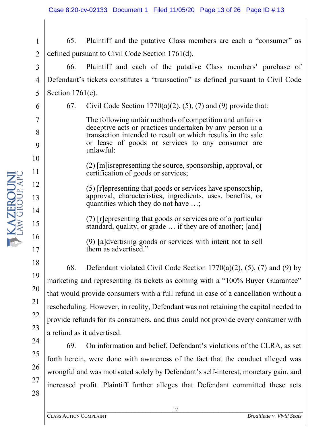1 2 65. Plaintiff and the putative Class members are each a "consumer" as defined pursuant to Civil Code Section 1761(d).

3 4 5 66. Plaintiff and each of the putative Class members' purchase of Defendant's tickets constitutes a "transaction" as defined pursuant to Civil Code Section 1761(e).

67. Civil Code Section 1770(a)(2), (5), (7) and (9) provide that:

The following unfair methods of competition and unfair or deceptive acts or practices undertaken by any person in a transaction intended to result or which results in the sale or lease of goods or services to any consumer are unlawful:

(2) [m]isrepresenting the source, sponsorship, approval, or certification of goods or services;

(5) [r]epresenting that goods or services have sponsorship, approval, characteristics, ingredients, uses, benefits, or quantities which they do not have …;

(7) [r]epresenting that goods or services are of a particular standard, quality, or grade … if they are of another; [and]

(9) [a]dvertising goods or services with intent not to sell them as advertised."

68. Defendant violated Civil Code Section 1770(a)(2), (5), (7) and (9) by marketing and representing its tickets as coming with a "100% Buyer Guarantee" that would provide consumers with a full refund in case of a cancellation without a rescheduling. However, in reality, Defendant was not retaining the capital needed to provide refunds for its consumers, and thus could not provide every consumer with a refund as it advertised.

69. On information and belief, Defendant's violations of the CLRA, as set forth herein, were done with awareness of the fact that the conduct alleged was wrongful and was motivated solely by Defendant's self-interest, monetary gain, and increased profit. Plaintiff further alleges that Defendant committed these acts

6

7

8

9

10

11

12

13

14

15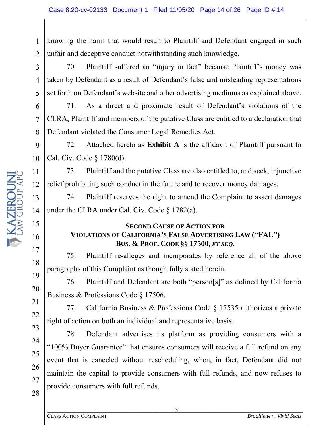1 2 knowing the harm that would result to Plaintiff and Defendant engaged in such unfair and deceptive conduct notwithstanding such knowledge.

70. Plaintiff suffered an "injury in fact" because Plaintiff's money was taken by Defendant as a result of Defendant's false and misleading representations set forth on Defendant's website and other advertising mediums as explained above.

71. As a direct and proximate result of Defendant's violations of the CLRA, Plaintiff and members of the putative Class are entitled to a declaration that Defendant violated the Consumer Legal Remedies Act.

9 10 72. Attached hereto as **Exhibit A** is the affidavit of Plaintiff pursuant to Cal. Civ. Code § 1780(d).

11 12 73. Plaintiff and the putative Class are also entitled to, and seek, injunctive relief prohibiting such conduct in the future and to recover money damages.

74. Plaintiff reserves the right to amend the Complaint to assert damages under the CLRA under Cal. Civ. Code § 1782(a).

#### **SECOND CAUSE OF ACTION FOR VIOLATIONS OF CALIFORNIA'S FALSE ADVERTISING LAW ("FAL") BUS. & PROF. CODE §§ 17500,** *ET SEQ***.**

75. Plaintiff re-alleges and incorporates by reference all of the above paragraphs of this Complaint as though fully stated herein.

76. Plaintiff and Defendant are both "person[s]" as defined by California Business & Professions Code § 17506.

77. California Business & Professions Code § 17535 authorizes a private right of action on both an individual and representative basis.

78. Defendant advertises its platform as providing consumers with a "100% Buyer Guarantee" that ensures consumers will receive a full refund on any event that is canceled without rescheduling, when, in fact, Defendant did not maintain the capital to provide consumers with full refunds, and now refuses to provide consumers with full refunds.

3

4

5

6

7

8

13

14

15

16

17

18

19

20

21

22

23

24

25

26

27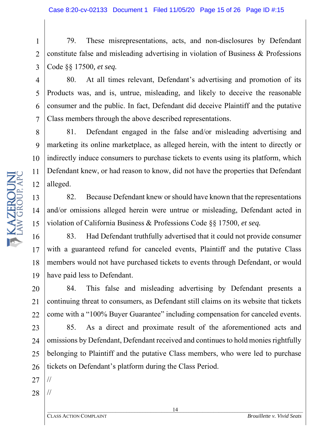1 2 3 79. These misrepresentations, acts, and non-disclosures by Defendant constitute false and misleading advertising in violation of Business & Professions Code §§ 17500*, et seq.*

80. At all times relevant, Defendant's advertising and promotion of its Products was, and is, untrue, misleading, and likely to deceive the reasonable consumer and the public. In fact, Defendant did deceive Plaintiff and the putative Class members through the above described representations.

8 9 10 11 81. Defendant engaged in the false and/or misleading advertising and marketing its online marketplace, as alleged herein, with the intent to directly or indirectly induce consumers to purchase tickets to events using its platform, which Defendant knew, or had reason to know, did not have the properties that Defendant alleged.

82. Because Defendant knew or should have known that the representations and/or omissions alleged herein were untrue or misleading, Defendant acted in violation of California Business & Professions Code §§ 17500, *et seq.*

19 83. Had Defendant truthfully advertised that it could not provide consumer with a guaranteed refund for canceled events, Plaintiff and the putative Class members would not have purchased tickets to events through Defendant, or would have paid less to Defendant.

20 21 22 84. This false and misleading advertising by Defendant presents a continuing threat to consumers, as Defendant still claims on its website that tickets come with a "100% Buyer Guarantee" including compensation for canceled events.

23 24 25 26 85. As a direct and proximate result of the aforementioned acts and omissions by Defendant, Defendant received and continuesto hold monies rightfully belonging to Plaintiff and the putative Class members, who were led to purchase tickets on Defendant's platform during the Class Period.

27

//

28 //

17

18

4

5

6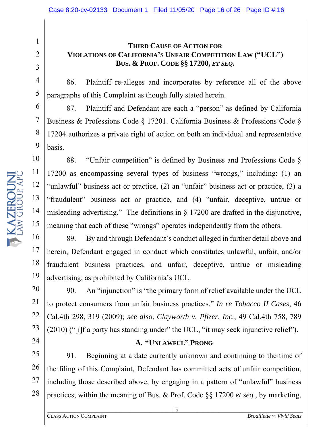#### **THIRD CAUSE OF ACTION FOR VIOLATIONS OF CALIFORNIA'S UNFAIR COMPETITION LAW ("UCL") BUS. & PROF. CODE §§ 17200,** *ET SEQ***.**

86. Plaintiff re-alleges and incorporates by reference all of the above paragraphs of this Complaint as though fully stated herein.

87. Plaintiff and Defendant are each a "person" as defined by California Business & Professions Code § 17201. California Business & Professions Code § 17204 authorizes a private right of action on both an individual and representative basis.

88. "Unfair competition" is defined by Business and Professions Code § 17200 as encompassing several types of business "wrongs," including: (1) an "unlawful" business act or practice, (2) an "unfair" business act or practice, (3) a "fraudulent" business act or practice, and (4) "unfair, deceptive, untrue or misleading advertising." The definitions in  $\S$  17200 are drafted in the disjunctive, meaning that each of these "wrongs" operates independently from the others.

16 89. By and through Defendant's conduct alleged in further detail above and herein, Defendant engaged in conduct which constitutes unlawful, unfair, and/or fraudulent business practices, and unfair, deceptive, untrue or misleading advertising, as prohibited by California's UCL.

90. An "injunction" is "the primary form of relief available under the UCL to protect consumers from unfair business practices." *In re Tobacco II Cases*, 46 Cal.4th 298, 319 (2009); *see also*, *Clayworth v. Pfizer, Inc.*, 49 Cal.4th 758, 789 (2010) ("[i]f a party has standing under" the UCL, "it may seek injunctive relief").

#### **A. "UNLAWFUL" PRONG**

91. Beginning at a date currently unknown and continuing to the time of the filing of this Complaint, Defendant has committed acts of unfair competition, including those described above, by engaging in a pattern of "unlawful" business practices, within the meaning of Bus. & Prof. Code §§ 17200 *et seq.,* by marketing,

1

2

3

4

5

6

7

8

9

10

11

12

13

14

15

17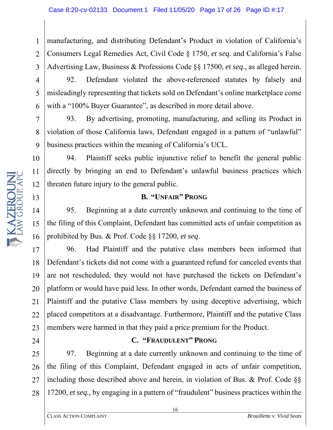1 2 3 manufacturing, and distributing Defendant's Product in violation of California's Consumers Legal Remedies Act, Civil Code § 1750, *et seq*. and California's False Advertising Law, Business & Professions Code §§ 17500, *et seq.,* as alleged herein.

4

5

6

7

8

9

10

11

12

13

24

92. Defendant violated the above-referenced statutes by falsely and misleadingly representing that tickets sold on Defendant's online marketplace come with a "100% Buyer Guarantee", as described in more detail above.

93. By advertising, promoting, manufacturing, and selling its Product in violation of those California laws, Defendant engaged in a pattern of "unlawful" business practices within the meaning of California's UCL.

94. Plaintiff seeks public injunctive relief to benefit the general public directly by bringing an end to Defendant's unlawful business practices which threaten future injury to the general public.

#### **B. "UNFAIR" PRONG**

14 15 16 95. Beginning at a date currently unknown and continuing to the time of the filing of this Complaint, Defendant has committed acts of unfair competition as prohibited by Bus. & Prof. Code §§ 17200, *et seq*.

17 18 19 20 21 22 23 96. Had Plaintiff and the putative class members been informed that Defendant's tickets did not come with a guaranteed refund for canceled events that are not rescheduled, they would not have purchased the tickets on Defendant's platform or would have paid less. In other words, Defendant earned the business of Plaintiff and the putative Class members by using deceptive advertising, which placed competitors at a disadvantage. Furthermore, Plaintiff and the putative Class members were harmed in that they paid a price premium for the Product.

#### **C. "FRAUDULENT" PRONG**

25 26 27 28 97. Beginning at a date currently unknown and continuing to the time of the filing of this Complaint, Defendant engaged in acts of unfair competition, including those described above and herein, in violation of Bus. & Prof. Code §§ 17200, *et seq.,* by engaging in a pattern of "fraudulent" business practices within the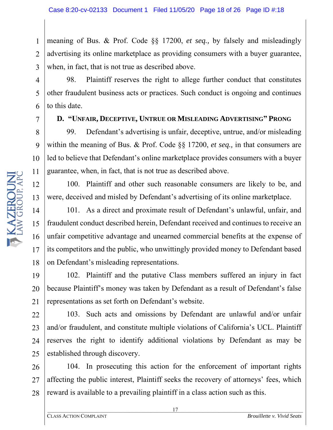1 2 3 meaning of Bus. & Prof. Code §§ 17200, *et seq.,* by falsely and misleadingly advertising its online marketplace as providing consumers with a buyer guarantee, when, in fact, that is not true as described above.

98. Plaintiff reserves the right to allege further conduct that constitutes other fraudulent business acts or practices. Such conduct is ongoing and continues to this date.

7

4

5

6

8

9

10

11

12

13

14

15

16

17

18

#### **D. "UNFAIR, DECEPTIVE, UNTRUE OR MISLEADING ADVERTISING" PRONG**

99. Defendant's advertising is unfair, deceptive, untrue, and/or misleading within the meaning of Bus. & Prof. Code §§ 17200, *et seq.,* in that consumers are led to believe that Defendant's online marketplace provides consumers with a buyer guarantee, when, in fact, that is not true as described above.

100. Plaintiff and other such reasonable consumers are likely to be, and were, deceived and misled by Defendant's advertising of its online marketplace.

101. As a direct and proximate result of Defendant's unlawful, unfair, and fraudulent conduct described herein, Defendant received and continues to receive an unfair competitive advantage and unearned commercial benefits at the expense of its competitors and the public, who unwittingly provided money to Defendant based on Defendant's misleading representations.

19 20 21 102. Plaintiff and the putative Class members suffered an injury in fact because Plaintiff's money was taken by Defendant as a result of Defendant's false representations as set forth on Defendant's website.

22 23 24 25 103. Such acts and omissions by Defendant are unlawful and/or unfair and/or fraudulent, and constitute multiple violations of California's UCL. Plaintiff reserves the right to identify additional violations by Defendant as may be established through discovery.

26 27 28 104. In prosecuting this action for the enforcement of important rights affecting the public interest, Plaintiff seeks the recovery of attorneys' fees, which reward is available to a prevailing plaintiff in a class action such as this.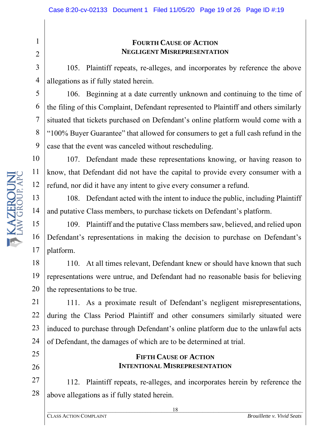#### **FOURTH CAUSE OF ACTION NEGLIGENT MISREPRESENTATION**

105. Plaintiff repeats, re-alleges, and incorporates by reference the above allegations as if fully stated herein.

106. Beginning at a date currently unknown and continuing to the time of the filing of this Complaint, Defendant represented to Plaintiff and others similarly situated that tickets purchased on Defendant's online platform would come with a "100% Buyer Guarantee" that allowed for consumers to get a full cash refund in the case that the event was canceled without rescheduling.

107. Defendant made these representations knowing, or having reason to know, that Defendant did not have the capital to provide every consumer with a refund, nor did it have any intent to give every consumer a refund.

108. Defendant acted with the intent to induce the public, including Plaintiff and putative Class members, to purchase tickets on Defendant's platform.

15 16 17 109. Plaintiff and the putative Class members saw, believed, and relied upon Defendant's representations in making the decision to purchase on Defendant's platform.

18 19 20 110. At all times relevant, Defendant knew or should have known that such representations were untrue, and Defendant had no reasonable basis for believing the representations to be true.

21 22 23 111. As a proximate result of Defendant's negligent misrepresentations, during the Class Period Plaintiff and other consumers similarly situated were induced to purchase through Defendant's online platform due to the unlawful acts of Defendant, the damages of which are to be determined at trial.

#### **FIFTH CAUSE OF ACTION INTENTIONAL MISREPRESENTATION**

28 112. Plaintiff repeats, re-alleges, and incorporates herein by reference the above allegations as if fully stated herein.

1

2

3

4

5

6

7

8

9

10

11

12

13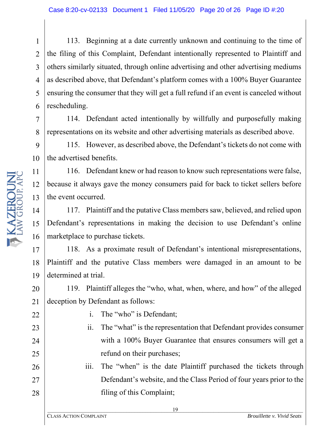1 2 3 4 5 6 113. Beginning at a date currently unknown and continuing to the time of the filing of this Complaint, Defendant intentionally represented to Plaintiff and others similarly situated, through online advertising and other advertising mediums as described above, that Defendant's platform comes with a 100% Buyer Guarantee ensuring the consumer that they will get a full refund if an event is canceled without rescheduling.

114. Defendant acted intentionally by willfully and purposefully making representations on its website and other advertising materials as described above.

9 10 115. However, as described above, the Defendant's tickets do not come with the advertised benefits.

11 12 13 116. Defendant knew or had reason to know such representations were false, because it always gave the money consumers paid for back to ticket sellers before the event occurred.

14 15 16 117. Plaintiff and the putative Class members saw, believed, and relied upon Defendant's representations in making the decision to use Defendant's online marketplace to purchase tickets.

17 18 19 118. As a proximate result of Defendant's intentional misrepresentations, Plaintiff and the putative Class members were damaged in an amount to be determined at trial.

20 21 119. Plaintiff alleges the "who, what, when, where, and how" of the alleged deception by Defendant as follows:

27

28

- i. The "who" is Defendant;
- ii. The "what" is the representation that Defendant provides consumer with a 100% Buyer Guarantee that ensures consumers will get a refund on their purchases;

iii. The "when" is the date Plaintiff purchased the tickets through Defendant's website, and the Class Period of four years prior to the filing of this Complaint;

7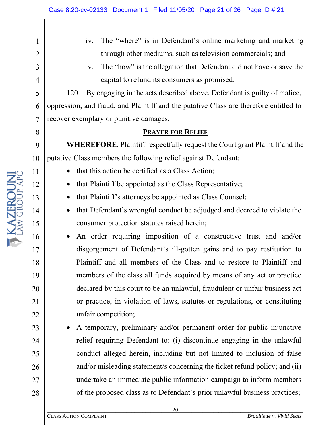**T KAZEROUN** 

1

2

3

4

5

6

7

8

9

10

11

12

13

14

15

16

17

18

19

20

21

22

23

24

25

26

27

28

- iv. The "where" is in Defendant's online marketing and marketing through other mediums, such as television commercials; and
- v. The "how" is the allegation that Defendant did not have or save the capital to refund its consumers as promised.

120. By engaging in the acts described above, Defendant is guilty of malice, oppression, and fraud, and Plaintiff and the putative Class are therefore entitled to recover exemplary or punitive damages.

#### **PRAYER FOR RELIEF**

**WHEREFORE**, Plaintiff respectfully request the Court grant Plaintiff and the putative Class members the following relief against Defendant:

- that this action be certified as a Class Action;
- that Plaintiff be appointed as the Class Representative;
- that Plaintiff's attorneys be appointed as Class Counsel;
- that Defendant's wrongful conduct be adjudged and decreed to violate the consumer protection statutes raised herein;
- An order requiring imposition of a constructive trust and and/or disgorgement of Defendant's ill-gotten gains and to pay restitution to Plaintiff and all members of the Class and to restore to Plaintiff and members of the class all funds acquired by means of any act or practice declared by this court to be an unlawful, fraudulent or unfair business act or practice, in violation of laws, statutes or regulations, or constituting unfair competition;
- A temporary, preliminary and/or permanent order for public injunctive relief requiring Defendant to: (i) discontinue engaging in the unlawful conduct alleged herein, including but not limited to inclusion of false and/or misleading statement/s concerning the ticket refund policy; and (ii) undertake an immediate public information campaign to inform members of the proposed class as to Defendant's prior unlawful business practices;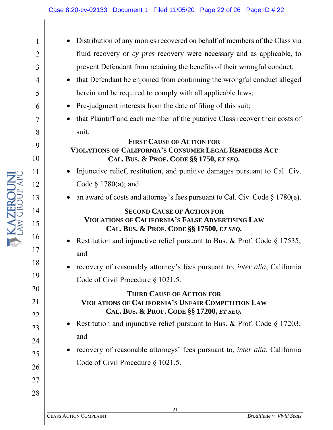- Distribution of any monies recovered on behalf of members of the Class via fluid recovery or *cy pres* recovery were necessary and as applicable, to prevent Defendant from retaining the benefits of their wrongful conduct;
- that Defendant be enjoined from continuing the wrongful conduct alleged herein and be required to comply with all applicable laws;
- Pre-judgment interests from the date of filing of this suit;
- that Plaintiff and each member of the putative Class recover their costs of suit.

#### **FIRST CAUSE OF ACTION FOR VIOLATIONS OF CALIFORNIA'S CONSUMER LEGAL REMEDIES ACT CAL. BUS. & PROF. CODE §§ 1750,** *ET SEQ.*

- Injunctive relief, restitution, and punitive damages pursuant to Cal. Civ. Code § 1780(a); and
- an award of costs and attorney's fees pursuant to Cal. Civ. Code  $\S 1780(e)$ .

#### **SECOND CAUSE OF ACTION FOR VIOLATIONS OF CALIFORNIA'S FALSE ADVERTISING LAW CAL. BUS. & PROF. CODE §§ 17500,** *ET SEQ.*

- Restitution and injunctive relief pursuant to Bus. & Prof. Code § 17535; and
- recovery of reasonably attorney's fees pursuant to, *inter alia*, California Code of Civil Procedure § 1021.5.

#### **THIRD CAUSE OF ACTION FOR VIOLATIONS OF CALIFORNIA'S UNFAIR COMPETITION LAW CAL. BUS. & PROF. CODE §§ 17200,** *ET SEQ.*

- Restitution and injunctive relief pursuant to Bus. & Prof. Code § 17203; and
- recovery of reasonable attorneys' fees pursuant to, *inter alia*, California Code of Civil Procedure § 1021.5.

1

2

3

4

5

6

7

8

9

10

11

12

13

14

15

16

17

18

19

20

21

22

23

24

25

26

27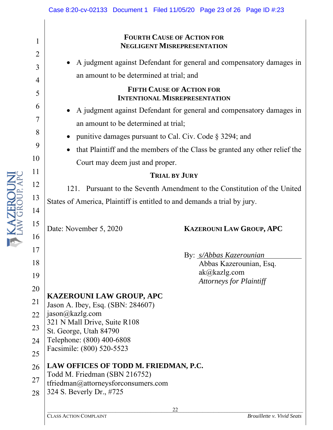# 10 11 12 I KAZEROUI 13 14 15 16 17 18

1

2

3

4

5

6

7

8

9

19

#### **FOURTH CAUSE OF ACTION FOR NEGLIGENT MISREPRESENTATION**

• A judgment against Defendant for general and compensatory damages in an amount to be determined at trial; and

#### **FIFTH CAUSE OF ACTION FOR INTENTIONAL MISREPRESENTATION**

- A judgment against Defendant for general and compensatory damages in an amount to be determined at trial;
- punitive damages pursuant to Cal. Civ. Code § 3294; and
- that Plaintiff and the members of the Class be granted any other relief the Court may deem just and proper.

#### **TRIAL BY JURY**

121. Pursuant to the Seventh Amendment to the Constitution of the United States of America, Plaintiff is entitled to and demands a trial by jury.

### Date: November 5, 2020 **KAZEROUNI LAW GROUP, APC**

By: *s/Abbas Kazerounian*

Abbas Kazerounian, Esq. ak@kazlg.com *Attorneys for Plaintiff*

#### 20 21 **KAZEROUNI LAW GROUP, APC** Jason A. Ibey, Esq. (SBN: 284607) jason@kazlg.com

- 22 321 N Mall Drive, Suite R108
- 23 St. George, Utah 84790
- 24 Telephone: (800) 400-6808
- 25 Facsimile: (800) 520-5523
- 26 **LAW OFFICES OF TODD M. FRIEDMAN, P.C.**
- Todd M. Friedman (SBN 216752)
- 27 tfriedman@attorneysforconsumers.com
- 28 324 S. Beverly Dr., #725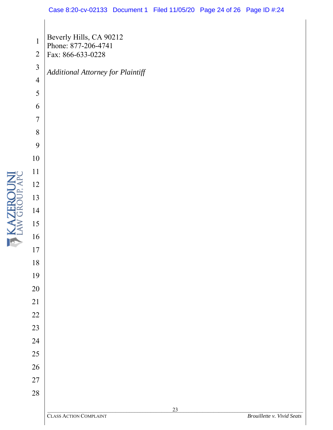I KAZEROUN

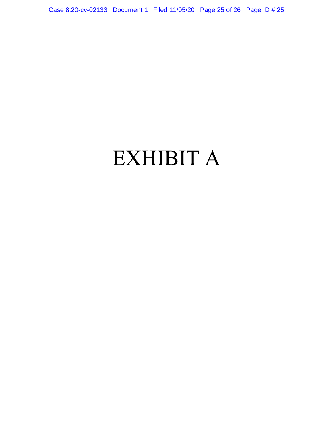Case 8:20-cv-02133 Document 1 Filed 11/05/20 Page 25 of 26 Page ID #:25

## EXHIBIT A